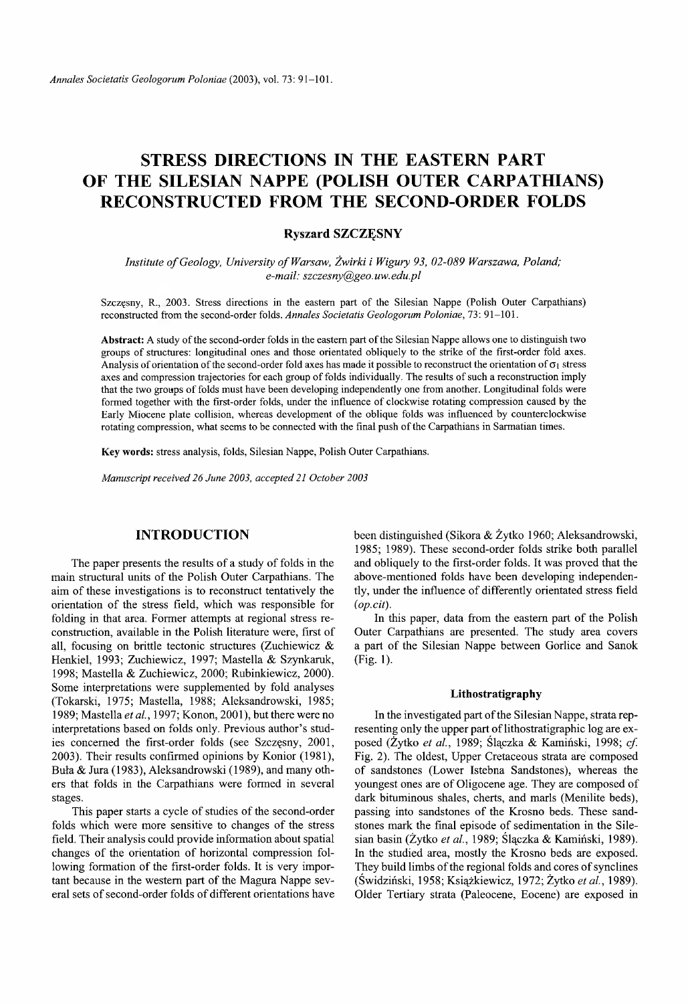# **STRESS DIRECTIONS IN THE EASTERN PART OF THE SILESIAN NAPPE (POLISH OUTER CARPATHIANS) RECONSTRUCTED FROM THE SECOND-ORDER FOLDS**

# **Ryszard SZCZĘSNY**

*Institute of Geology, University of Warsaw, Żwirki i Wigury 93, 02-089 Warszawa, Poland; e-mail: [szczesny@geo.uw.edu.pl](mailto:szczesny@geo.uw.edu.pl)*

Szczęsny, R., 2003. Stress directions in the eastern part of the Silesian Nappe (Polish Outer Carpathians) reconstructed from the second-order folds. *Annales Societatis Geologorum Poloniae,* 73: 91-101.

Abstract: A study of the second-order folds in the eastern part of the Silesian Nappe allows one to distinguish two groups of structures: longitudinal ones and those orientated obliquely to the strike of the first-order fold axes. Analysis of orientation of the second-order fold axes has made it possible to reconstruct the orientation of  $\sigma_1$  stress axes and compression trajectories for each group of folds individually. The results of such a reconstruction imply that the two groups of folds must have been developing independently one from another. Longitudinal folds were formed together with the first-order folds, under the influence of clockwise rotating compression caused by the Early Miocene plate collision, whereas development of the oblique folds was influenced by counterclockwise rotating compression, what seems to be connected with the final push of the Carpathians in Sarmatian times.

Key words: stress analysis, folds, Silesian Nappe, Polish Outer Carpathians.

*Manuscript received 26 June 2003, accepted 21 October 2003*

## **INTRODUCTION**

The paper presents the results of a study of folds in the main structural units of the Polish Outer Carpathians. The aim of these investigations is to reconstruct tentatively the orientation of the stress field, which was responsible for folding in that area. Former attempts at regional stress reconstruction, available in the Polish literature were, first of all, focusing on brittle tectonic structures (Zuchiewicz & Henkiel, 1993; Zuchiewicz, 1997; Mastella & Szynkaruk, 1998; Mastella & Zuchiewicz, 2000; Rubinkiewicz, 2000). Some interpretations were supplemented by fold analyses (Tokarski, 1975; Mastella, 1988; Aleksandrowski, 1985; 1989; Mastella *et al.*, 1997; Konon, 2001), but there were no interpretations based on folds only. Previous author's studies concerned the first-order folds (see Szczęsny, 2001, 2003). Their results confirmed opinions by Konior (1981), Buła & Jura (1983), Aleksandrowski (1989), and many others that folds in the Carpathians were formed in several stages.

This paper starts a cycle of studies of the second-order folds which were more sensitive to changes of the stress field. Their analysis could provide information about spatial changes of the orientation of horizontal compression following formation of the first-order folds. It is very important because in the western part of the Magura Nappe several sets of second-order folds of different orientations have been distinguished (Sikora & Żytko 1960; Aleksandrowski, 1985; 1989). These second-order folds strike both parallel and obliquely to the first-order folds. It was proved that the above-mentioned folds have been developing independently, under the influence of differently orientated stress field *(op.cit).*

In this paper, data from the eastern part of the Polish Outer Carpathians are presented. The study area covers a part of the Silesian Nappe between Gorlice and Sanok (Fig. 1).

#### **Lithostratigraphy**

In the investigated part of the Silesian Nappe, strata representing only the upper part of lithostratigraphic log are exposed (Żytko *et al.,* 1989; Ślączka & Kamiński, 1998; *cf.* Fig. 2). The oldest, Upper Cretaceous strata are composed of sandstones (Lower Istebna Sandstones), whereas the youngest ones are of Oligocene age. They are composed of dark bituminous shales, cherts, and marls (Menilite beds), passing into sandstones of the Krosno beds. These sandstones mark the final episode of sedimentation in the Silesian basin (Żytko *et al.,* 1989; Ślączka & Kamiński, 1989). In the studied area, mostly the Krosno beds are exposed. They build limbs of the regional folds and cores of synclines (Świdziński, 1958; Książkiewicz, 1972; Żytko *et al.*, 1989). Older Tertiary strata (Paleocene, Eocene) are exposed in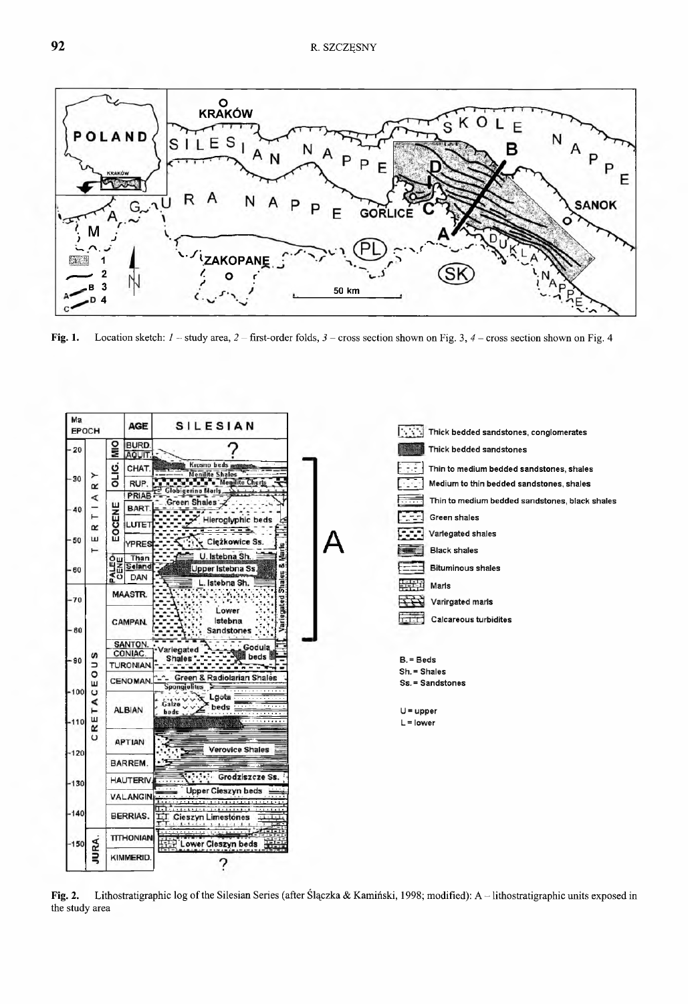

Fig. 1. Location sketch: *1 -* study area, *2 -* first-order folds, *3 -* cross section shown on Fig. *3,4-* cross section shown on Fig. 4



Fig. 2. Lithostratigraphic log of the Silesian Series (after Ślączka & Kamiński, 1998; modified): A - lithostratigraphic units exposed in the study area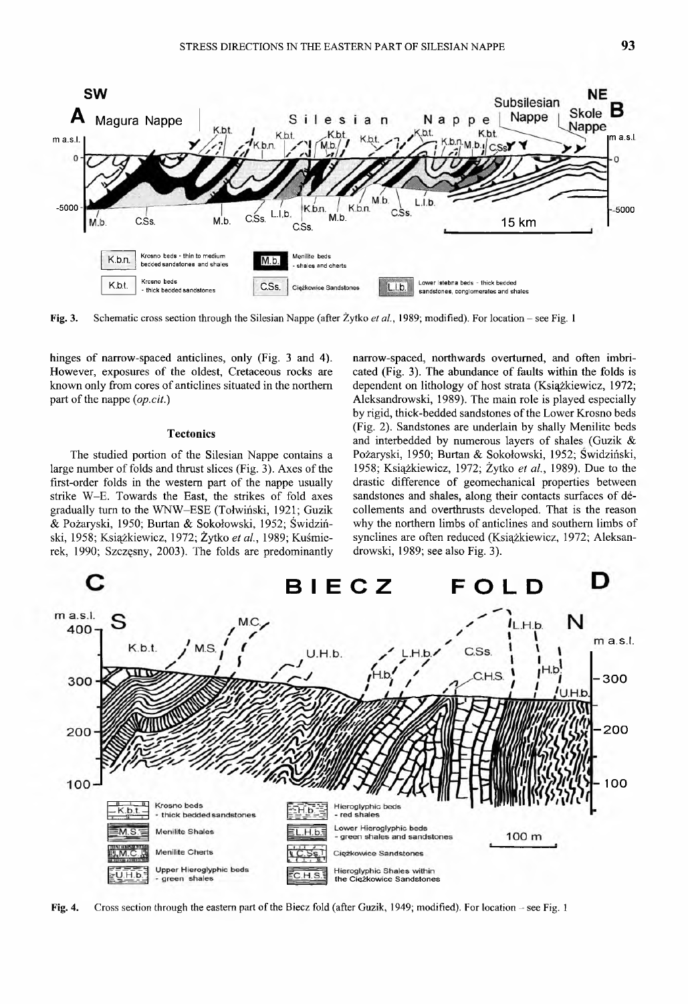

Fig. 3. Schematic cross section through the Silesian Nappe (after Żytko *et al.,* 1989; modified). For location - see Fig. 1

hinges of narrow-spaced anticlines, only (Fig. 3 and 4). However, exposures of the oldest, Cretaceous rocks are known only from cores of anticlines situated in the northern part of the nappe (*op.cit*.)

#### **Tectonics**

The studied portion of the Silesian Nappe contains a large number of folds and thrust slices (Fig. 3). Axes of the first-order folds in the western part of the nappe usually strike W-E. Towards the East, the strikes of fold axes gradually turn to the WNW-ESE (Tołwiński, 1921; Guzik & Pożaryski, 1950; Burtan & Sokołowski, 1952; Świdziński, 1958; Książkiewicz, 1972; Żytko *et al.,* 1989; Kuśmierek, 1990; Szczęsny, 2003). The folds are predominantly

narrow-spaced, northwards overturned, and often imbricated (Fig. 3). The abundance of faults within the folds is dependent on lithology of host strata (Książkiewicz, 1972; Aleksandrowski, 1989). The main role is played especially by rigid, thick-bedded sandstones of the Lower Krosno beds (Fig. 2). Sandstones are underlain by shally Menilite beds and interbedded by numerous layers of shales (Guzik & Pożaryski, 1950; Burtan & Sokołowski, 1952; Swidziński, 1958; Książkiewicz, 1972; Żytko *et al.,* 1989). Due to the drastic difference of geomechanical properties between sandstones and shales, along their contacts surfaces of decollements and overthrusts developed. That is the reason why the northern limbs of anticlines and southern limbs of synclines are often reduced (Książkiewicz, 1972; Aleksandrowski, 1989; see also Fig. 3).



Fig. 4. Cross section through the eastern part of the Biecz fold (after Guzik, 1949; modified). For location - see Fig. 1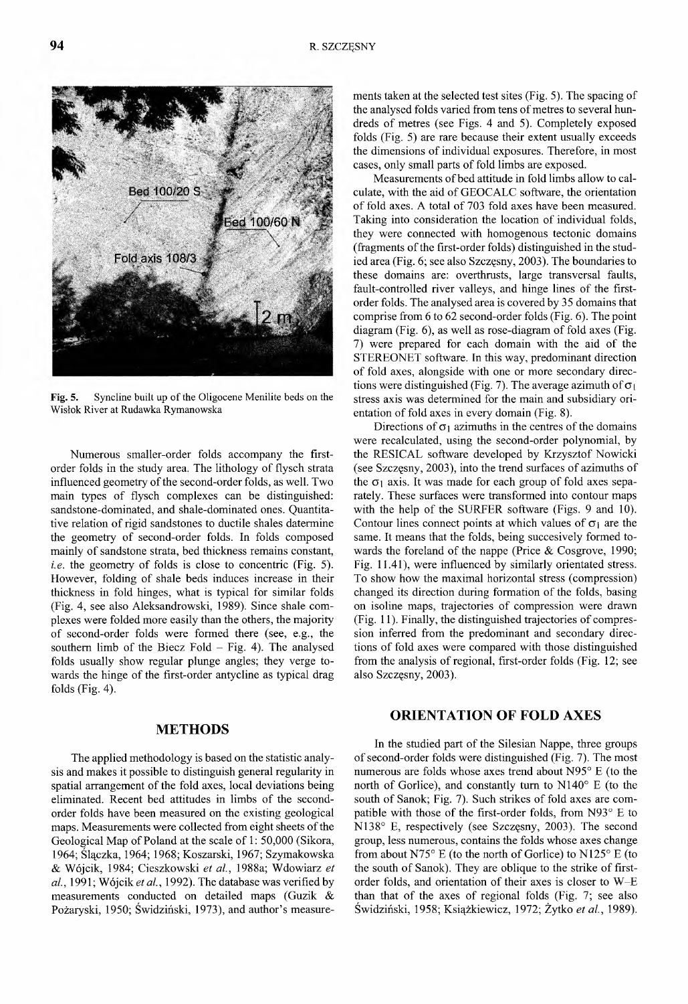Fig. 5. Syncline built up of the Oligocene Menilite beds on the Wisłok River at Rudawka Rymanowska

Numerous smaller-order folds accompany the firstorder folds in the study area. The lithology of flysch strata influenced geometry of the second-order folds, as well. Two main types of flysch complexes can be distinguished: sandstone-dominated, and shale-dominated ones. Quantitative relation of rigid sandstones to ductile shales datermine the geometry of second-order folds. In folds composed mainly of sandstone strata, bed thickness remains constant, *i.e.* the geometry of folds is close to concentric (Fig. 5). However, folding of shale beds induces increase in their thickness in fold hinges, what is typical for similar folds (Fig. 4, see also Aleksandrowski, 1989). Since shale complexes were folded more easily than the others, the majority of second-order folds were formed there (see, e.g., the southern limb of the Biecz Fold  $-$  Fig. 4). The analysed folds usually show regular plunge angles; they verge towards the hinge of the first-order antycline as typical drag folds (Fig. 4).

#### **METHODS**

The applied methodology is based on the statistic analysis and makes it possible to distinguish general regularity in spatial arrangement of the fold axes, local deviations being eliminated. Recent bed attitudes in limbs of the secondorder folds have been measured on the existing geological maps. Measurements were collected from eight sheets of the Geological Map of Poland at the scale of 1: 50,000 (Sikora, 1964; Ślączka, 1964; 1968; Koszarski, 1967; Szymakowska & Wójcik, 1984; Cieszkowski *et a l,* 1988a; Wdowiarz *et al*., 1991; Wójcik *et al.,* 1992). The database was verified by measurements conducted on detailed maps (Guzik & Pożaryski, 1950; Świdziński, 1973), and author's measurements taken at the selected test sites (Fig. 5). The spacing of the analysed folds varied from tens of metres to several hundreds of metres (see Figs. 4 and 5). Completely exposed folds (Fig. 5) are rare because their extent usually exceeds the dimensions of individual exposures. Therefore, in most cases, only small parts of fold limbs are exposed.

Measurements of bed attitude in fold limbs allow to calculate, with the aid of GEOCALC software, the orientation of fold axes. A total of 703 fold axes have been measured. Taking into consideration the location of individual folds, they were connected with homogenous tectonic domains (fragments of the first-order folds) distinguished in the studied area (Fig. 6; see also Szczęsny, 2003). The boundaries to these domains are: overthrusts, large transversal faults, fault-controlled river valleys, and hinge lines of the firstorder folds. The analysed area is covered by 35 domains that comprise from 6 to 62 second-order folds (Fig. 6). The point diagram (Fig. 6), as well as rose-diagram of fold axes (Fig. 7) were prepared for each domain with the aid of the STEREONET software. In this way, predominant direction of fold axes, alongside with one or more secondary directions were distinguished (Fig. 7). The average azimuth of  $\sigma_1$ stress axis was determined for the main and subsidiary orientation of fold axes in every domain (Fig. 8).

Directions of  $\sigma_1$  azimuths in the centres of the domains were recalculated, using the second-order polynomial, by the RESICAL software developed by Krzysztof Nowicki (see Szczęsny, 2003), into the trend surfaces of azimuths of the  $\sigma_1$  axis. It was made for each group of fold axes separately. These surfaces were transformed into contour maps with the help of the SURFER software (Figs. 9 and 10). Contour lines connect points at which values of  $\sigma_i$  are the same. It means that the folds, being succesively formed towards the foreland of the nappe (Price  $&$  Cosgrove, 1990; Fig. 11.41), were influenced by similarly orientated stress. To show how the maximal horizontal stress (compression) changed its direction during formation of the folds, basing on isoline maps, trajectories of compression were drawn (Fig. 11). Finally, the distinguished trajectories of compression inferred from the predominant and secondary directions of fold axes were compared with those distinguished from the analysis of regional, first-order folds (Fig. 12; see also Szczęsny, 2003).

## **ORIENTATION OF FOLD AXES**

In the studied part of the Silesian Nappe, three groups of second-order folds were distinguished (Fig. 7). The most numerous are folds whose axes trend about N95° E (to the north of Gorlice), and constantly turn to  $N140^\circ$  E (to the south of Sanok; Fig. 7). Such strikes of fold axes are compatible with those of the first-order folds, from  $N93^\circ$  E to N138° E, respectively (see Szczęsny, 2003). The second group, less numerous, contains the folds whose axes change from about N75 $\degree$  E (to the north of Gorlice) to N125 $\degree$  E (to the south of Sanok). They are oblique to the strike of firstorder folds, and orientation of their axes is closer to W -E than that of the axes of regional folds (Fig.  $7$ ; see also Świdziński, 1958; Książkiewicz, 1972; Żytko et al., 1989).

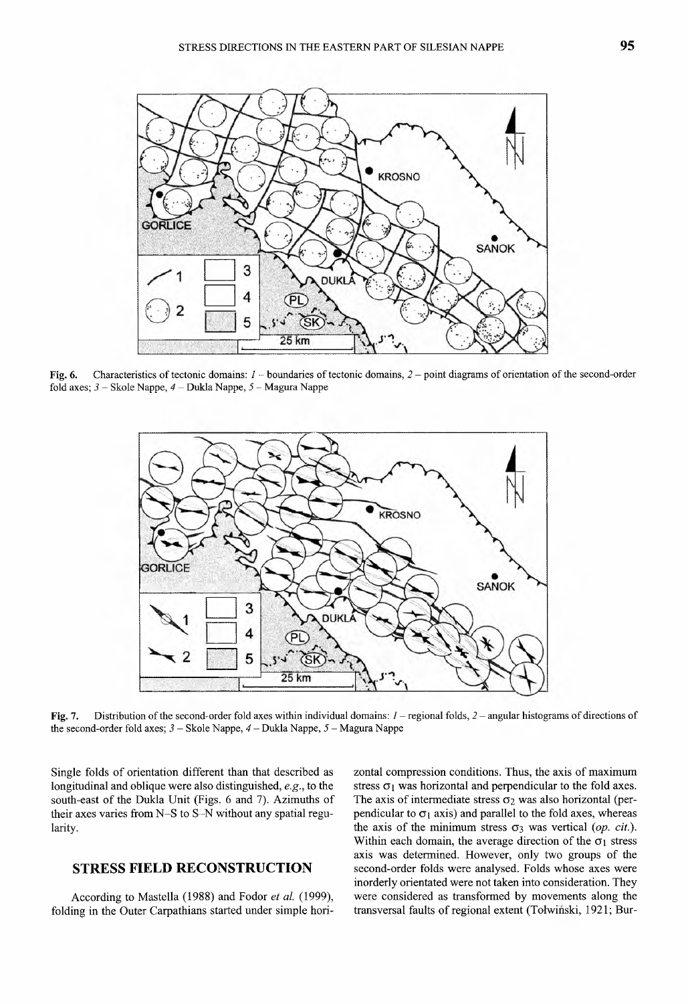

Fig. 6. Characteristics of tectonic domains: / - boundaries of tectonic domains, *2 -* point diagrams of orientation of the second-order fold axes; *3 -* Skole Nappe, *4 -* Dukla Nappe, *5 -* Magura Nappe



Fig. 7. Distribution of the second-order fold axes within individual domains: *1 -* regional folds, *2 -* angular histograms of directions of the second-order fold axes; *3 -* Skole Nappe, *4 -* Dukla Nappe, 5 - Magura Nappe

Single folds of orientation different than that described as longitudinal and oblique were also distinguished, *e.g.,* to the south-east of the Dukla Unit (Figs. 6 and 7). Azimuths of their axes varies from  $N-S$  to  $S-N$  without any spatial regularity.

## **STRESS FIELD RECONSTRUCTION**

According to Mastella (1988) and Fodor *et al.* (1999), folding in the Outer Carpathians started under simple horizontal compression conditions. Thus, the axis of maximum stress  $\sigma_1$  was horizontal and perpendicular to the fold axes. The axis of intermediate stress  $\sigma_2$  was also horizontal (perpendicular to  $\sigma_1$  axis) and parallel to the fold axes, whereas the axis of the minimum stress  $\sigma_3$  was vertical *(op. cit.)*. Within each domain, the average direction of the  $\sigma_1$  stress axis was determined. However, only two groups of the second-order folds were analysed. Folds whose axes were inorderly orientated were not taken into consideration. They were considered as transformed by movements along the transversal faults of regional extent (Totwinski, 1921; Bur-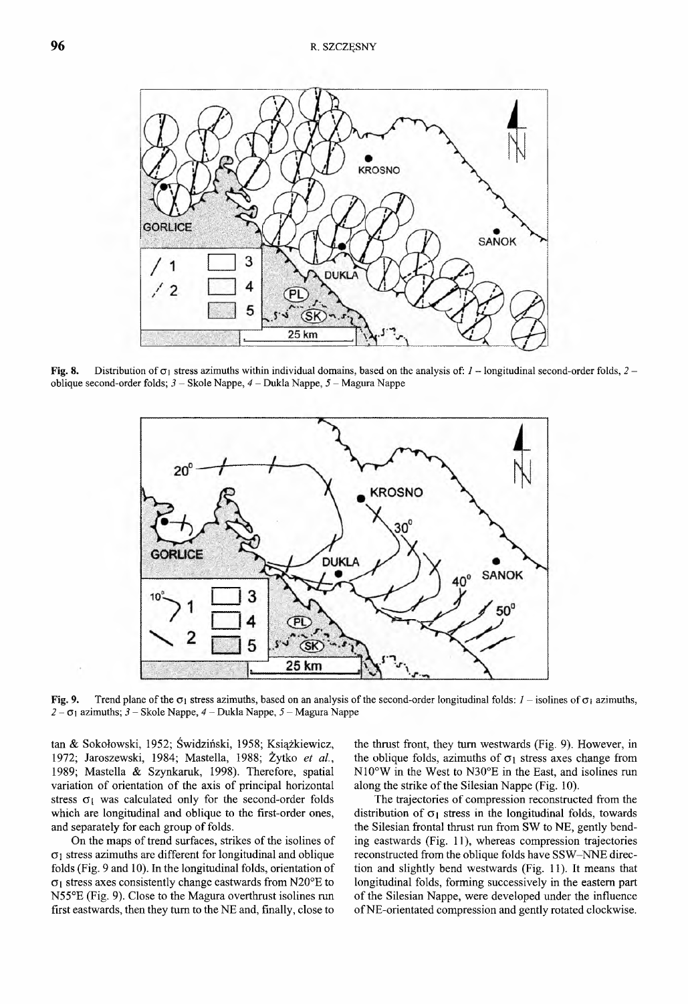

**Fig. 8.** Distribution of  $\sigma_1$  stress azimuths within individual domains, based on the analysis of:  $I$  – longitudinal second-order folds,  $2$  – oblique second-order folds; *3* - Skole Nappe, *4 -* Dukla Nappe, *5 -* Magura Nappe



Fig. 9. Trend plane of the  $\sigma_1$  stress azimuths, based on an analysis of the second-order longitudinal folds:  $I$  - isolines of  $\sigma_1$  azimuths, 2 - 0 1 azimuths; *3 -* Skole Nappe, *4 -* Dukla Nappe, *5* - Magura Nappe

tan & Sokołowski, 1952; Świdziński, 1958; Książkiewicz, 1972; Jaroszewski, 1984; Mastella, 1988; Żytko *et al.,* 1989; Mastella & Szynkaruk, 1998). Therefore, spatial variation of orientation of the axis of principal horizontal stress  $\sigma_1$  was calculated only for the second-order folds which are longitudinal and oblique to the first-order ones, and separately for each group of folds.

On the maps of trend surfaces, strikes of the isolines of  $\sigma_1$  stress azimuths are different for longitudinal and oblique folds (Fig. 9 and 10). In the longitudinal folds, orientation of  $\sigma_1$  stress axes consistently change eastwards from N20°E to N55°E (Fig. 9). Close to the Magura overthrust isolines run first eastwards, then they turn to the NE and, finally, close to

the thrust front, they turn westwards (Fig. 9). However, in the oblique folds, azimuths of  $\sigma_1$  stress axes change from N10°W in the West to N30°E in the East, and isolines run along the strike of the Silesian Nappe (Fig. 10).

The trajectories of compression reconstructed from the distribution of  $\sigma_1$  stress in the longitudinal folds, towards the Silesian frontal thrust run from SW to NE, gently bending eastwards (Fig. 11), whereas compression trajectories reconstructed from the oblique folds have SSW-NNE direction and slightly bend westwards (Fig. 11). It means that longitudinal folds, forming successively in the eastern part of the Silesian Nappe, were developed under the influence of NE-orientated compression and gently rotated clockwise.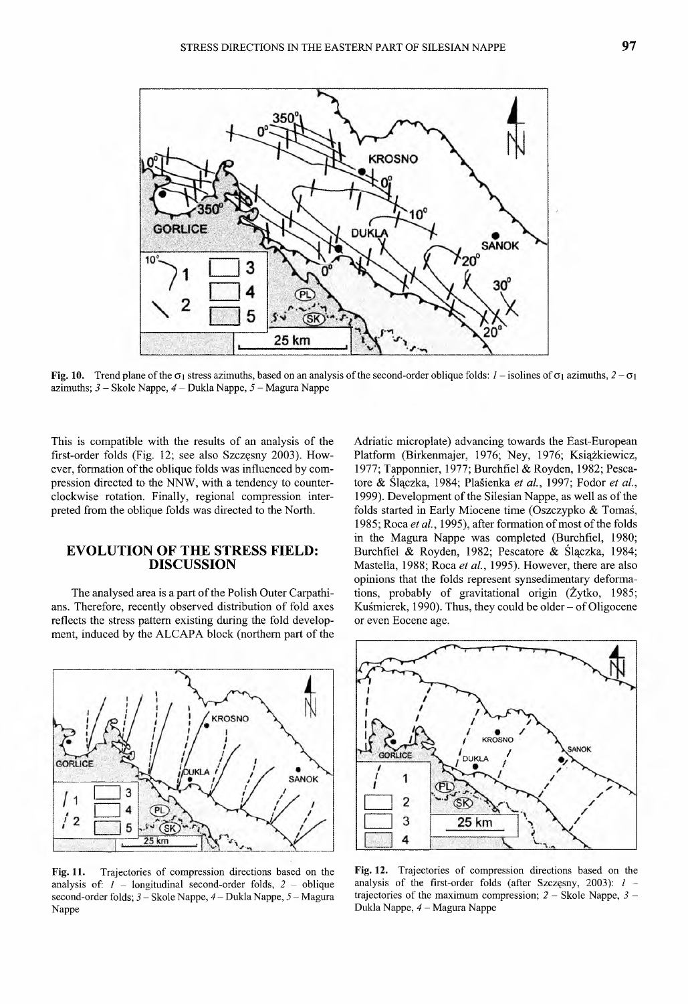

**Fig. 10.** Trend plane of the  $\sigma_1$  stress azimuths, based on an analysis of the second-order oblique folds:  $l$  – isolines of  $\sigma_1$  azimuths,  $2 - \sigma_1$ azimuths; *3 -* Skole Nappe, *4 -* Dukla Nappe, 5 - Magura Nappe

This is compatible with the results of an analysis of the first-order folds (Fig. 12; see also Szczęsny 2003). However, formation of the oblique folds was influenced by compression directed to the NNW, with a tendency to counterclockwise rotation. Finally, regional compression interpreted from the oblique folds was directed to the North.

## **EVOLUTION OF THE STRESS FIELD: DISCUSSION**

The analysed area is a part of the Polish Outer Carpathians. Therefore, recently observed distribution of fold axes reflects the stress pattern existing during the fold development, induced by the ALCAPA block (northern part of the



**Fig. 11.** Trajectories of compression directions based on the analysis of: / - longitudinal second-order folds, *2 -* oblique second-order folds; *3 -* Skole Nappe, *4 -* Dukla Nappe, *5 -* Magura Nappe

Adriatic microplate) advancing towards the East-European Platform (Birkenmajer, 1976; Ney, 1976; Książkiewicz, 1977; Tapponnier, 1977; Burchfiel & Royden, 1982; Pescatore & Ślączka, 1984; Plašienka *et al.*, 1997; Fodor *et al.*, 1999). Development of the Silesian Nappe, as well as of the folds started in Early Miocene time (Oszczypko & Tomaś, 1985; Roca et al., 1995), after formation of most of the folds in the Magura Nappe was completed (Burchfiel, 1980; Burchfiel & Royden, 1982; Pescatore & Ślączka, 1984; Mastella, 1988; Roca *et al.,* 1995). However, there are also opinions that the folds represent synsedimentary deformations, probably of gravitational origin (Żytko, 1985; Kuśmierek, 1990). Thus, they could be older  $-$  of Oligocene or even Eocene age.



**Fig. 12.** Trajectories of compression directions based on the analysis of the first-order folds (after Szczęsny, 2003): *1* trajectories of the maximum compression; *2 -* Skole Nappe, *3 -* Dukla Nappe, *4 -* Magura Nappe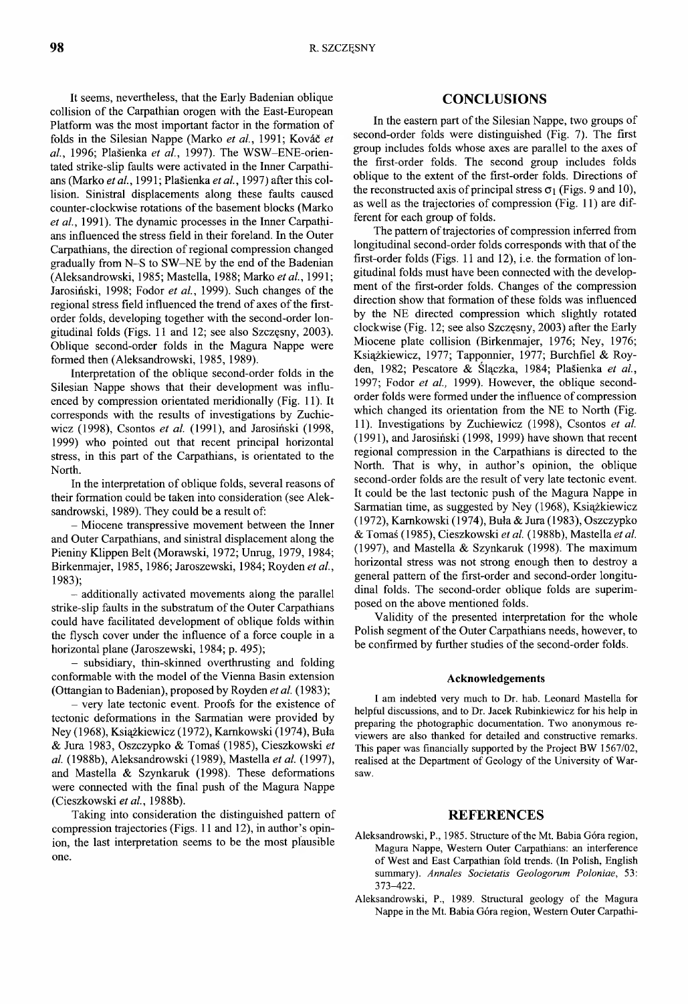It seems, nevertheless, that the Early Badenian oblique collision of the Carpathian orogen with the East-European Platform was the most important factor in the formation of folds in the Silesian Nappe (Marko *et al.,* 1991; Kovac *et al.,* 1996; Plasienka *et al.,* 1997). The WSW-ENE-orientated strike-slip faults were activated in the Inner Carpathians (Marko *et al.*, 1991; Plasienka *etal.,* 1997) after this collision. Sinistral displacements along these faults caused counter-clockwise rotations of the basement blocks (Marko *et al.,* 1991). The dynamic processes in the Inner Carpathians influenced the stress field in their foreland. In the Outer Carpathians, the direction of regional compression changed gradually from N-S to SW-NE by the end of the Badenian (Aleksandrowski, 1985; Mastella, 1988; Marko *etal.,* 1991; Jarosiński, 1998; Fodor *et al.,* 1999). Such changes of the regional stress field influenced the trend of axes of the firstorder folds, developing together with the second-order longitudinal folds (Figs. 11 and 12; see also Szczęsny, 2003). Oblique second-order folds in the Magura Nappe were formed then (Aleksandrowski, 1985, 1989).

Interpretation of the oblique second-order folds in the Silesian Nappe shows that their development was influenced by compression orientated meridionally (Fig. 11). It corresponds with the results of investigations by Zuchiewicz (1998), Csontos *et al.* (1991), and Jarosiński (1998, 1999) who pointed out that recent principal horizontal stress, in this part of the Carpathians, is orientated to the North.

In the interpretation of oblique folds, several reasons of their formation could be taken into consideration (see Aleksandrowski, 1989). They could be a result of:

- Miocene transpressive movement between the Inner and Outer Carpathians, and sinistral displacement along the Pieniny Klippen Belt (Morawski, 1972; Unrug, 1979, 1984; Birkenmajer, 1985,1986; Jaroszewski, 1984; Royden *et al.,* 1983);

- additionally activated movements along the parallel strike-slip faults in the substratum of the Outer Carpathians could have facilitated development of oblique folds within the flysch cover under the influence of a force couple in a horizontal plane (Jaroszewski, 1984; p. 495);

- subsidiary, thin-skinned overthrusting and folding conformable with the model of the Vienna Basin extension (Ottangian to Badenian), proposed by Royden *et al.* (1983);

- very late tectonic event. Proofs for the existence of tectonic deformations in the Sarmatian were provided by Ney (1968), Książkiewicz (1972), Kamkowski (1974), Bula & Jura 1983, Oszczypko & Tomas (1985), Cieszkowski *et al.* (1988b), Aleksandrowski (1989), Mastella *et al.* (1997), and Mastella & Szynkaruk (1998). These deformations were connected with the final push of the Magura Nappe (Cieszkowski *et al.,* 1988b).

Taking into consideration the distinguished pattern of compression trajectories (Figs. 11 and 12), in author's opinion, the last interpretation seems to be the most plausible one.

#### **CONCLUSIONS**

In the eastern part of the Silesian Nappe, two groups of second-order folds were distinguished (Fig. 7). The first group includes folds whose axes are parallel to the axes of the first-order folds. The second group includes folds oblique to the extent of the first-order folds. Directions of the reconstructed axis of principal stress  $\sigma_1$  (Figs. 9 and 10), as well as the trajectories of compression (Fig. 11) are different for each group of folds.

The pattern of trajectories of compression inferred from longitudinal second-order folds corresponds with that of the first-order folds (Figs.  $11$  and  $12$ ), i.e. the formation of longitudinal folds must have been connected with the development of the first-order folds. Changes of the compression direction show that formation of these folds was influenced by the NE directed compression which slightly rotated clockwise (Fig. 12; see also Szczęsny, 2003) after the Early Miocene plate collision (Birkenmajer, 1976; Ney, 1976; Książkiewicz, 1977; Tapponnier, 1977; Burchfiel & Royden, 1982; Pescatore & Ślączka, 1984; Plasienka *et al.,* 1997; Fodor *et al,* 1999). However, the oblique secondorder folds were formed under the influence of compression which changed its orientation from the NE to North (Fig. 11). Investigations by Zuchiewicz (1998), Csontos *et al.* (1991), and Jarosiński (1998, 1999) have shown that recent regional compression in the Carpathians is directed to the North. That is why, in author's opinion, the oblique second-order folds are the result of very late tectonic event. It could be the last tectonic push of the Magura Nappe in Sarmatian time, as suggested by Ney (1968), Książkiewicz (1972), Kamkowski (1974), Buła & Jura (1983), Oszczypko & Tomaś (1985), Cieszkowski *et al.* (1988b), Mastella *et al.* (1997), and Mastella & Szynkaruk (1998). The maximum horizontal stress was not strong enough then to destroy a general pattern of the first-order and second-order longitudinal folds. The second-order oblique folds are superimposed on the above mentioned folds.

Validity of the presented interpretation for the whole Polish segment of the Outer Carpathians needs, however, to be confirmed by further studies of the second-order folds.

#### **Acknowledgements**

I am indebted very much to Dr. hab. Leonard Mastella for helpful discussions, and to Dr. Jacek Rubinkiewicz for his help in preparing the photographic documentation. Two anonymous reviewers are also thanked for detailed and constructive remarks. This paper was financially supported by the Project BW 1567/02, realised at the Department of Geology of the University of Warsaw.

## **REFERENCES**

- Aleksandrowski, P., 1985. Structure of the Mt. Babia Góra region, Magura Nappe, Western Outer Carpathians: an interference of West and East Carpathian fold trends. (In Polish, English summary). *Annales Societatis Geologomm Poloniae*, 53: 373-422.
- Aleksandrowski, P., 1989. Structural geology of the Magura Nappe in the Mt. Babia Góra region, Western Outer Carpathi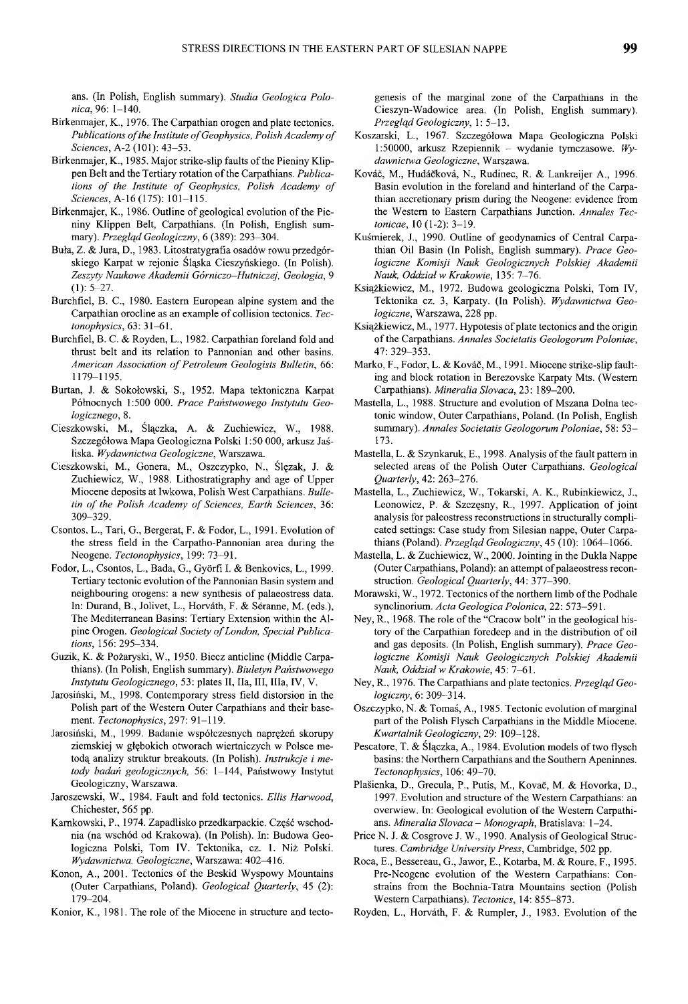ans. (In Polish, English summary). *Studia Geologica Polonica*, 96: 1-140.

- Birkenmajer, K., 1976. The Carpathian orogen and plate tectonics. Publications of the Institute of Geophysics, Polish Academy of *Sciences,* A-2 (101): 43-53.
- Birkenmajer, K., 1985. Major strike-slip faults of the Pieniny Klippen Belt and the Tertiary rotation of the Carpathians. *Publica*tions of the Institute of Geophysics, Polish Academy of *Sciences,* A-16 (175): 101-115.
- Birkenmajer, K., 1986. Outline of geological evolution of the Pieniny Klippen Belt, Carpathians. (In Polish, English summary). *Przegląd Geologiczny,* 6 (389): 293-304.
- Buła, Z. & Jura, D., 1983. Litostratygrafia osadów rowu przedgórskiego Karpat w rejonie Śląska Cieszyńskiego. (In Polish). *Zeszyty Naukowe Akademii Górniczo-Hutniczej, Geologia,* 9  $(1): 5-27.$
- Burchfiel, В. C., 1980. Eastern European alpine system and the Carpathian orocline as an example of collision tectonics. *Tectonophysics,* 63: 31-61.
- Burchfiel, В. С. & Royden, L., 1982. Carpathian foreland fold and thrust belt and its relation to Pannonian and other basins. *American Association of Petroleum Geologists Bulletin, 66:* 1179-1195.
- Burtan, J. & Sokołowski, S., 1952. Mapa tektoniczna Karpat Północnych 1:500 000. *Prace Państwowego Instytutu Geologicznego,* 8.
- Cieszkowski, М., Ślączka, A. & Zuchiewicz, W., 1988. Szczegółowa Mapa Geologiczna Polski 1:50 000, arkusz Jaśliska. *Wydawnictwa Geologiczne,* Warszawa.
- Cieszkowski, М., Gonera, М., Oszczypko, N., Ślęzak, J. & Zuchiewicz, W., 1988. Lithostratigraphy and age of Upper Miocene deposits at Iwkowa, Polish West Carpathians. *Bulletin of the Polish Academy of Sciences, Earth Sciences, 36:* 309-329.
- Csontos, L., Tari, G., Bergerat, F. & Fodor, L., 1991. Evolution of the stress field in the Carpatho-Pannonian area during the Neogene. *Tectonophysics,* 199: 73-91.
- Fodor, L., Csontos, L., Bada, G., Gyórfi I. & Benkovics, L., 1999. Tertiary tectonic evolution of the Pannonian Basin system and neighbouring orogens: a new synthesis of palaeostress data. In: Durand, B., Jolivet, L., Horvath, F. & Seranne, M. (eds.), The Mediterranean Basins: Tertiary Extension within the Alpine Orogen. Geological Society of London, Special Publica*tions,* 156: 295-334.
- Guzik, К. & Pożaryski, W., 1950. Biecz anticline (Middle Carpathians). (In Polish, English summary). *Biuletyn Państwowego Instytutu Geologicznego,* 53: plates II, Па, III, Ilia, IV, V.
- Jarosiński, М., 1998. Contemporary stress field distorsion in the Polish part of the Western Outer Carpathians and their basement. *Tectonophysics,* 297: 91-119.
- Jarosiński, М., 1999. Badanie współczesnych naprężeń skorupy ziemskiej w głębokich otworach wiertniczych w Polsce metodą analizy struktur breakouts. (In Polish). *Instrukcje i metody badań geologicznych,* 56: 1-144, Państwowy Instytut Geologiczny, Warszawa.
- Jaroszewski, W., 1984. Fault and fold tectonics. *Ellis Harwood,* Chichester, 565 pp.
- Kamkowski, P., 1974. Zapadlisko przedkarpackie. Część wschodnia (na wschód od Krakowa). (In Polish). In: Budowa Geologiczna Polski, Tom IV. Tektonika, cz. 1. Niż Polski. *Wydawnictwa. Geologiczne,* Warszawa: 402—416.
- Konon, A., 2001. Tectonics of the Beskid Wyspowy Mountains (Outer Carpathians, Poland). *Geological Quarterly,* 45 (2): 179-204.
- Konior, К., 1981. The role of the Miocene in structure and tecto-

genesis of the marginal zone of the Carpathians in the Cieszyn-Wadowice area. (In Polish, English summary). *Przegląd Geologiczny,* 1: 5-13.

- Koszarski, L., 1967. Szczegółowa Mapa Geologiczna Polski 1:50000, arkusz Rzepiennik - wydanie tymczasowe. *Wydawnictwa Geologiczne,* Warszawa.
- Kovac, M., Hudackova, N., Rudinec, R. & Lankreijer A., 1996. Basin evolution in the foreland and hinterland of the Carpathian accretionary prism during the Neogene: evidence from the Western to Eastern Carpathians Junction. *Annales Tectonicae,* 10 (1-2): 3-19.
- Kuśmierek, J., 1990. Outline of geodynamics of Central Carpathian Oil Basin (In Polish, English summary). *Prace Geologiczne Komisji Nauk Geologicznych Polskiej Akademii Nauk, Oddział w Krakowie,* 135: 7-76.
- Książkiewicz, M., 1972. Budowa geologiczna Polski, Tom IV, Tektonika cz. 3, Karpaty. (In Polish). *Wydawnictwa Geologiczne,* Warszawa, 228 pp.
- Książkiewicz, M., 1977. Hypotesis of plate tectonics and the origin of the Carpathians. *Annales Societatis Geologorum Poloniae,* 47: 329-353.
- Marko, F., Fodor, L. & Kováč, M., 1991. Miocene strike-slip faulting and block rotation in Berezovske Karpaty Mts. (Western Carpathians). *Mineralia Slovaca,* 23: 189-200.
- Mastella, L., 1988. Structure and evolution of Mszana Dolna tectonic window, Outer Carpathians, Poland. (In Polish, English summary). *Annales Societatis Geologorum Poloniae,* 58: 53- 173.
- Mastella, L. & Szynkaruk, E., 1998. Analysis of the fault pattern in selected areas of the Polish Outer Carpathians. *Geological Quarterly,* 42: 263-276.
- Mastella, L., Zuchiewicz, W., Tokarski, A. K., Rubinkiewicz, J., Leonowicz, P. & Szczęsny, R., 1997. Application of joint analysis for paleostress reconstructions in structurally complicated settings: Case study from Silesian nappe, Outer Carpathians (Poland). *Przegląd Geologiczny,* 45 (10): 1064-1066.
- Mastella, L. & Zuchiewicz, W., 2000. Jointing in the Dukla Nappe (Outer Carpathians, Poland): an attempt of palaeostress reconstruction. *Geological Quarterly,* 44: 377-390.
- Morawski, W., 1972. Tectonics of the northern limb of the Podhale synclinorium. *Acta Geologica Polonica,* 22: 573-591.
- Ney, R., 1968. The role of the "Cracow bolt" in the geological history of the Carpathian foredeep and in the distribution of oil and gas deposits. (In Polish, English summary). *Prace Geologiczne Komisji Nauk Geologicznych Polskiej Akademii Nauk, Oddział w Krakowie,* 45: 7-61.
- Ney, R., 1976. The Carpathians and plate tectonics. *Przegląd Geologiczny,* 6: 309-314.
- Oszczypko, N. & Tomaś, A., 1985. Tectonic evolution of marginal part of the Polish Flysch Carpathians in the Middle Miocene. *Kwartalnik Geologiczny,* 29: 109-128.
- Pescatore, T. & Ślączka, A., 1984. Evolution models of two flysch basins: the Northern Carpathians and the Southern Apeninnes. *Tectonophysics,* 106: 49-70.
- Plaśienka, D., Grecula, P., Putis, M., Kovac, M. & Hovorka, D., 1997. Evolution and structure of the Western Carpathians: an overwiew. In: Geological evolution of the Western Carpathians. *Mineralia Slovaca - Monograph,* Bratislava: 1-24.
- Price N. J. & Cosgrove J. W., 1990. Analysis of Geological Structures. *Cambridge University Press,* Cambridge, 502 pp.
- Roca, E., Bessereau, G., Jawor, E., Kotarba, M. & Roure, F., 1995. Pre-Neogene evolution of the Western Carpathians: Constrains from the Bochnia-Tatra Mountains section (Polish Western Carpathians). *Tectonics,* 14: 855-873.
- Royden, L., Horvath, F. & Rumpler, J., 1983. Evolution of the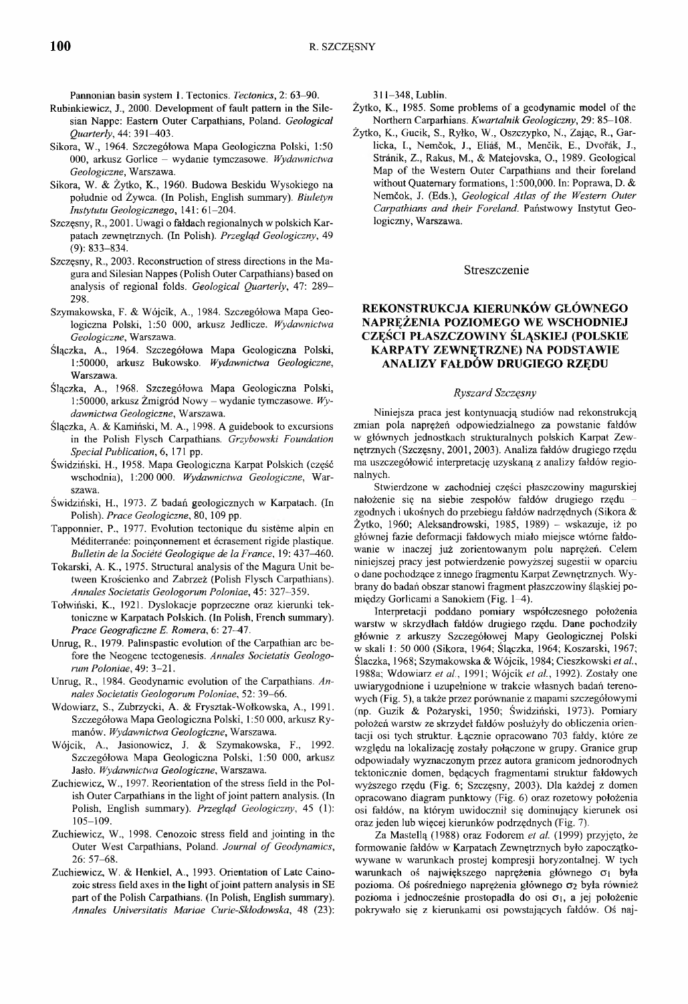Pannonian basin system 1. Tectonics. *Tectonics*, 2: 63-90.

- Rubinkiewicz, J., 2000. Development of fault pattern in the Silesian Nappe: Eastern Outer Carpathians, Poland. *Geological Quarterly,* 44: 391-403.
- Sikora, W., 1964. Szczegółowa Mapa Geologiczna Polski, 1:50 000, arkusz Gorlice - wydanie tymczasowe. *Wydawnictwa Geologiczne,* Warszawa.
- Sikora, W. & Żytko, K., 1960. Budowa Beskidu Wysokiego na południe od Żywca. (In Polish, English summary). *Biuletyn Instytutu Geologicznego,* 141: 61-204.
- Szczęsny, R., 2001. Uwagi o fałdach regionalnych w polskich Karpatach zewnętrznych. (In Polish). *Przegląd Geologiczny,* 49 (9): 833-834.
- Szczęsny, R., 2003. Reconstruction of stress directions in the Magura and Silesian Nappes (Polish Outer Carpathians) based on analysis of regional folds. *Geological Quarterly,* 47: 289- 298.
- Szymakowska, F. & Wójcik, A., 1984. Szczegółowa Mapa Geologiczna Polski, 1:50 000, arkusz Jedlicze. *Wydawnictwa Geologiczne,* Warszawa.
- Ślączka, A., 1964. Szczegółowa Mapa Geologiczna Polski, 1:50000, arkusz Bukowsko. *Wydawnictwa Geologiczne,* Warszawa.
- Ślączka, A., 1968. Szczegółowa Mapa Geologiczna Polski, 1:50000, arkusz Żmigród Nowy - wydanie tymczasowe. *Wydawnictwa Geologiczne,* Warszawa.
- Ślączka, A. & Kamiński, M. A., 1998. A guidebook to excursions in the Polish Flysch Carpathians. *Grzybowski Foundation Special Publication,* 6,171 pp.
- Świdziński, H., 1958. Mapa Geologiczna Karpat Polskich (część wschodnia), 1:200 000. *Wydawnictwa Geologiczne,* Warszawa.
- Świdziński, H., 1973. Z badań geologicznych w Karpatach. (In Polish). *Prace Geologiczne,* 80, 109 pp.
- Tapponnier, P., 1977. Evolution tectonique du sisteme alpin en Mediterranee: poinęonnement et ecrasement rigide plastique. *Bulletin de la Societe Geologique de la France,* 19: 437-460.
- Tokarski, A. K., 1975. Structural analysis of the Magura Unit between Krościenko and Zabrzeż (Polish Flysch Carpathians). *Annales Societatis Geologorum Poloniae,* 45: 327-359.
- Tołwiński, K., 1921. Dyslokacje poprzeczne oraz kierunki tektoniczne w Karpatach Polskich. (In Polish, French summary). *Prace Geograficzne E. Romera,* 6: 27-47.
- Unrug, R., 1979. Palinspastic evolution of the Carpathian arc before the Neogene tectogenesis. *Annales Societatis Geologorum Poloniae,* 49: 3-21.
- Unrug, R., 1984. Geodynamic evolution of the Carpathians. *Annales Societatis Geologorum Poloniae,* 52: 39-66.
- Wdowiarz, S., Zubrzycki, A. & Frysztak-Wołkowska, A., 1991. Szczegółowa Mapa Geologiczna Polski, 1:50 000, arkusz Rymanów. *Wydawnictwa Geologiczne,* Warszawa.
- Wójcik, A., Jasionowicz, J. & Szymakowska, F., 1992. Szczegółowa Mapa Geologiczna Polski, 1:50 000, arkusz Jasło. *Wydawnictwa Geologiczne,* Warszawa.
- Zuchiewicz, W., 1997. Reorientation of the stress field in the Polish Outer Carpathians in the light of joint pattern analysis. (In Polish, English summary). *Przegląd Geologiczny,* 45 (1): 105-109.
- Zuchiewicz, W., 1998. Cenozoic stress field and jointing in the Outer West Carpathians, Poland. *Journal of Geodynamics,* 26: 57-68.
- Zuchiewicz, W. & Henkiel, A., 1993. Orientation of Late Cainozoic stress field axes in the light of joint pattern analysis in SE part of the Polish Carpathians. (In Polish, English summary). *Annales Universitatis Mariae Curie-Sktodowska,* 48 (23):

311-348, Lublin.

- Żytko, K., 1985. Some problems of a geodynamic model of the Northern Carparhians. *Kwartalnik Geologiczny,* 29: 85-108.
- Żytko, K., Gucik, S., Ryłko, W., Oszczypko, N., Zając, R., Garlicka, I., Nemčok, J., Eliáš, M., Menčik, E., Dvořák, J., Stranik, Z., Rakus, M., & Matejovska, O., 1989. Geological Map of the Western Outer Carpathians and their foreland without Quaternary formations, 1:500,000. In: Poprawa, D. & Nemćok, J. (Eds.), *Geological Atlas of the Western Outer Carpathians and their Foreland.* Państwowy Instytut Geologiczny, Warszawa.

#### Streszczenie

## **REKONSTRUKCJA KIERUNKÓW GŁÓWNEGO NAPRĘŻENIA POZIOMEGO WE WSCHODNIEJ CZĘŚCI PŁASZCZOWINY ŚLĄSKIEJ (POLSKIE KARPATY ZEWNĘTRZNE) NA PODSTAWIE ANALIZY FAŁDÓW DRUGIEGO RZĘDU**

#### *Ryszard Szczęsny*

Niniejsza praca jest kontynuacją studiów nad rekonstrukcją zmian pola naprężeń odpowiedzialnego za powstanie fałdów w głównych jednostkach strukturalnych polskich Karpat Zewnętrznych (Szczęsny, 2001, 2003). Analiza fałdów drugiego rzędu ma uszczegółowić interpretację uzyskaną z analizy fałdów regionalnych.

Stwierdzone w zachodniej części płaszczowiny magurskiej nałożenie się na siebie zespołów fałdów drugiego rzędu zgodnych i ukośnych do przebiegu fałdów nadrzędnych (Sikora & *Żytko,* 1960; Aleksandrowski, 1985, 1989) - wskazuje, iż po głównej fazie deformacji fałdowych miało miejsce wtórne fałdowanie w inaczej już zorientowanym polu naprężeń. Celem niniejszej pracy jest potwierdzenie powyższej sugestii w oparciu o dane pochodzące z innego fragmentu Karpat Zewnętrznych. Wybrany do badań obszar stanowi fragment płaszczowiny śląskiej pomiędzy Gorlicami a Sanokiem (Fig. 1^1).

Interpretacji poddano pomiary współczesnego położenia warstw w skrzydłach fałdów drugiego rzędu. Dane pochodziły głównie z arkuszy Szczegółowej Mapy Geologicznej Polski w skali 1: 50 000 (Sikora, 1964; Ślączka, 1964; Koszarski, 1967; Ślaczka, 1968; Szymakowska & Wójcik, 1984; Cieszkowski *et al,* 1988a; Wdowiarz *et al.,* 1991; Wójcik *et al.,* 1992). Zostały one uwiarygodnione i uzupełnione w trakcie własnych badań terenowych (Fig. 5), a także przez porównanie z mapami szczegółowymi (np. Guzik & Pożaryski, 1950; Świdziński, 1973). Pomiary położeń warstw ze skrzydeł fałdów posłużyły do obliczenia orientacji osi tych struktur. Łącznie opracowano 703 fałdy, które ze względu na lokalizację zostały połączone w grupy. Granice grup odpowiadały wyznaczonym przez autora granicom jednorodnych tektonicznie domen, będących fragmentami struktur fałdowych wyższego rzędu (Fig. 6; Szczęsny, 2003). Dla każdej z domen opracowano diagram punktowy (Fig. 6) oraz rozetowy położenia osi fałdów, na którym uwidocznił się dominujący kierunek osi oraz jeden lub więcej kierunków podrzędnych (Fig. 7).

Za Mastellą (1988) oraz Fodorem *et al.* (1999) przyjęto, że formowanie fałdów w Karpatach Zewnętrznych było zapoczątkowywane w warunkach prostej kompresji horyzontalnej. W tych warunkach oś największego naprężenia głównego  $\sigma_1$  była pozioma. Oś pośredniego naprężenia głównego σ2 była również pozioma i jednocześnie prostopadła do osi  $\sigma_1$ , a jej położenie pokrywało się z kierunkami osi powstających fałdów. Oś naj